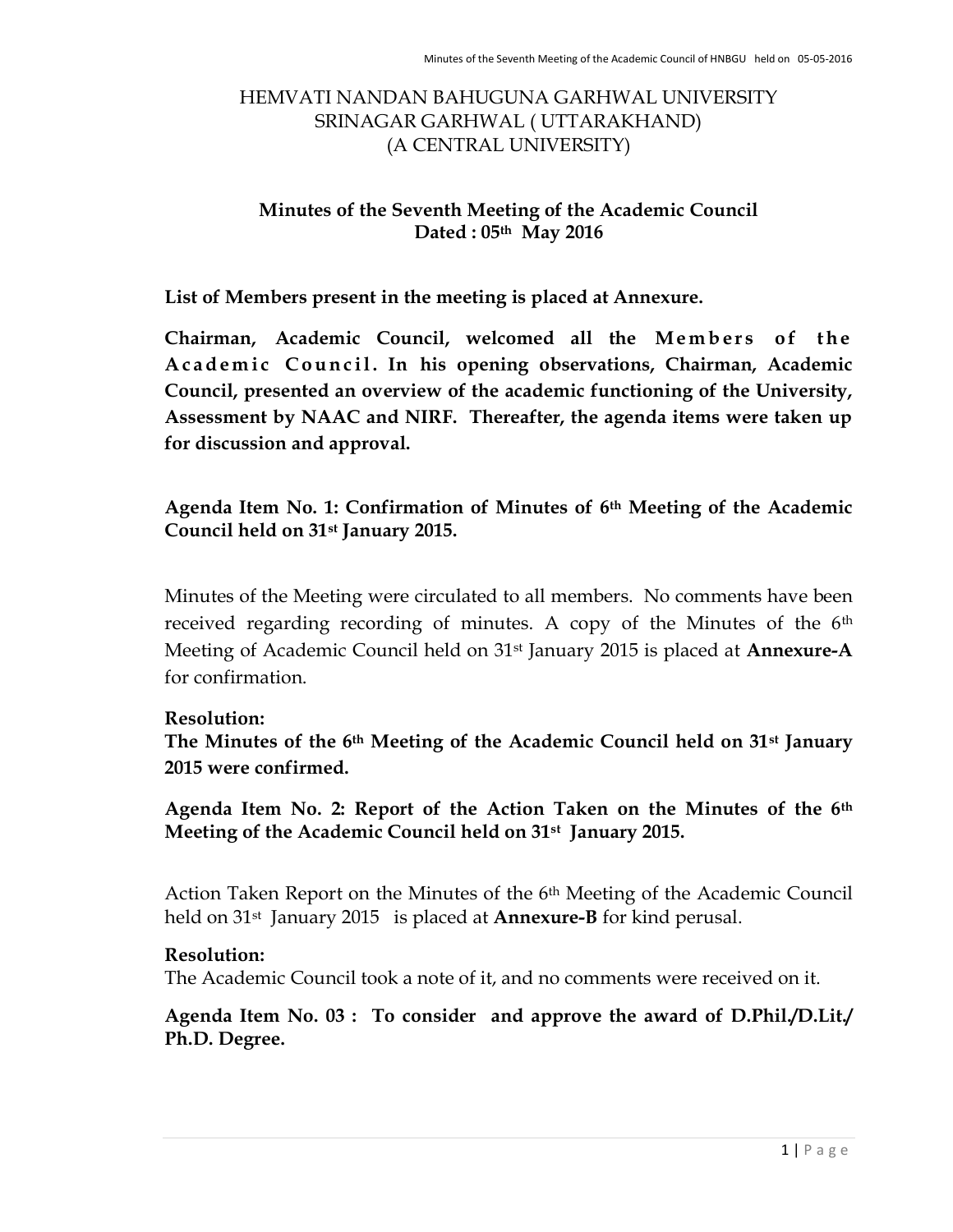## HEMVATI NANDAN BAHUGUNA GARHWAL UNIVERSITY SRINAGAR GARHWAL ( UTTARAKHAND) (A CENTRAL UNIVERSITY)

## Minutes of the Seventh Meeting of the Academic Council Dated : 05th May 2016

List of Members present in the meeting is placed at Annexure.

Chairman, Academic Council, welcomed all the Members of the A cademic Council. In his opening observations, Chairman, Academic Council, presented an overview of the academic functioning of the University, Assessment by NAAC and NIRF. Thereafter, the agenda items were taken up for discussion and approval.

Agenda Item No. 1: Confirmation of Minutes of 6th Meeting of the Academic Council held on 31st January 2015.

Minutes of the Meeting were circulated to all members. No comments have been received regarding recording of minutes. A copy of the Minutes of the 6<sup>th</sup> Meeting of Academic Council held on 31<sup>st</sup> January 2015 is placed at Annexure-A for confirmation.

### Resolution:

The Minutes of the 6<sup>th</sup> Meeting of the Academic Council held on 31<sup>st</sup> January 2015 were confirmed.

Agenda Item No. 2: Report of the Action Taken on the Minutes of the 6th Meeting of the Academic Council held on 31st January 2015.

Action Taken Report on the Minutes of the 6th Meeting of the Academic Council held on  $31^{st}$  January 2015 is placed at **Annexure-B** for kind perusal.

### Resolution:

The Academic Council took a note of it, and no comments were received on it.

Agenda Item No. 03 : To consider and approve the award of D.Phil./D.Lit./ Ph.D. Degree.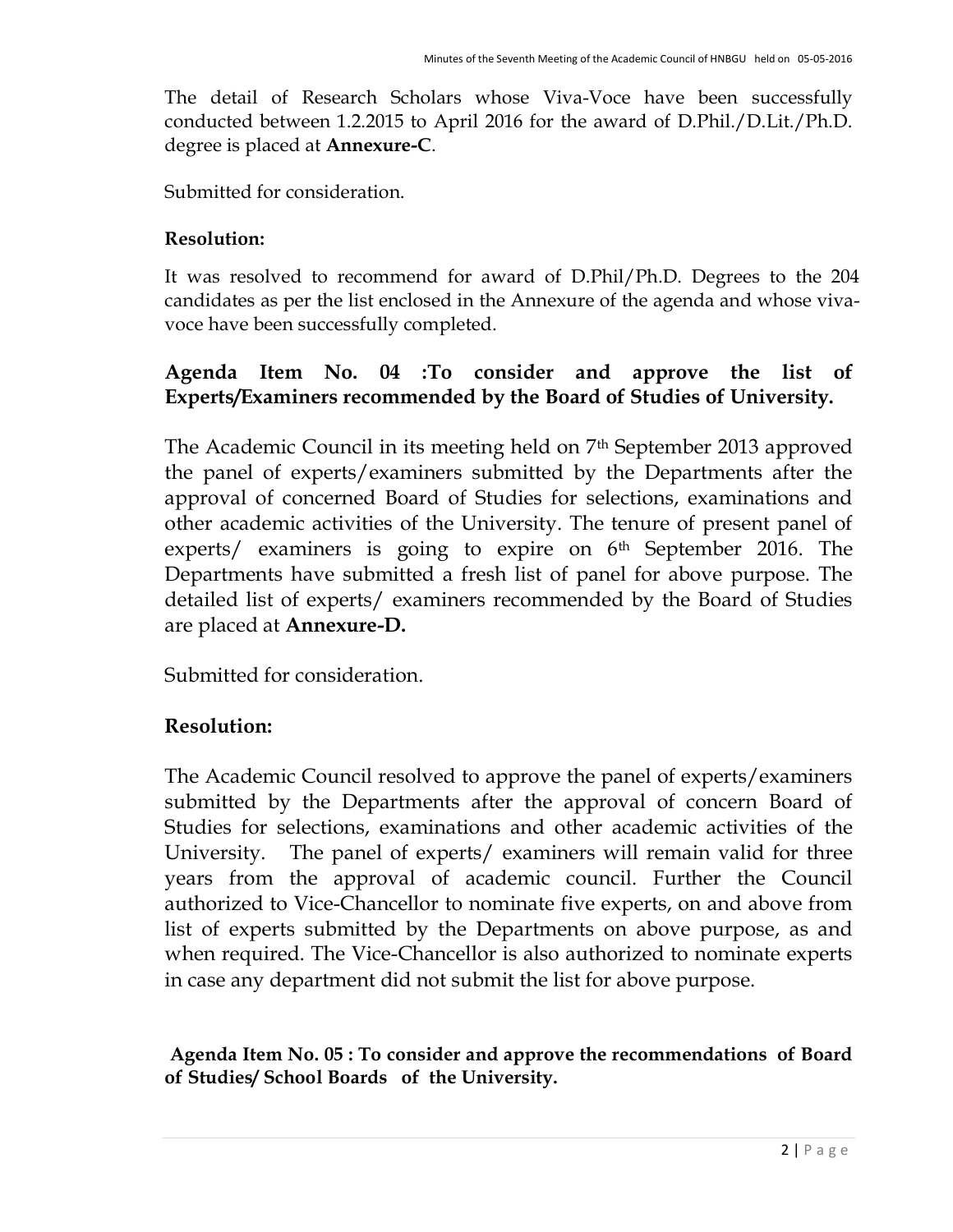The detail of Research Scholars whose Viva-Voce have been successfully conducted between 1.2.2015 to April 2016 for the award of D.Phil./D.Lit./Ph.D. degree is placed at Annexure-C.

Submitted for consideration.

## Resolution:

It was resolved to recommend for award of D.Phil/Ph.D. Degrees to the 204 candidates as per the list enclosed in the Annexure of the agenda and whose vivavoce have been successfully completed.

# Agenda Item No. 04 :To consider and approve the list of Experts/Examiners recommended by the Board of Studies of University.

The Academic Council in its meeting held on 7<sup>th</sup> September 2013 approved the panel of experts/examiners submitted by the Departments after the approval of concerned Board of Studies for selections, examinations and other academic activities of the University. The tenure of present panel of experts/ examiners is going to expire on 6<sup>th</sup> September 2016. The Departments have submitted a fresh list of panel for above purpose. The detailed list of experts/ examiners recommended by the Board of Studies are placed at Annexure-D.

Submitted for consideration.

# Resolution:

The Academic Council resolved to approve the panel of experts/examiners submitted by the Departments after the approval of concern Board of Studies for selections, examinations and other academic activities of the University. The panel of experts/ examiners will remain valid for three years from the approval of academic council. Further the Council authorized to Vice-Chancellor to nominate five experts, on and above from list of experts submitted by the Departments on above purpose, as and when required. The Vice-Chancellor is also authorized to nominate experts in case any department did not submit the list for above purpose.

Agenda Item No. 05 : To consider and approve the recommendations of Board of Studies/ School Boards of the University.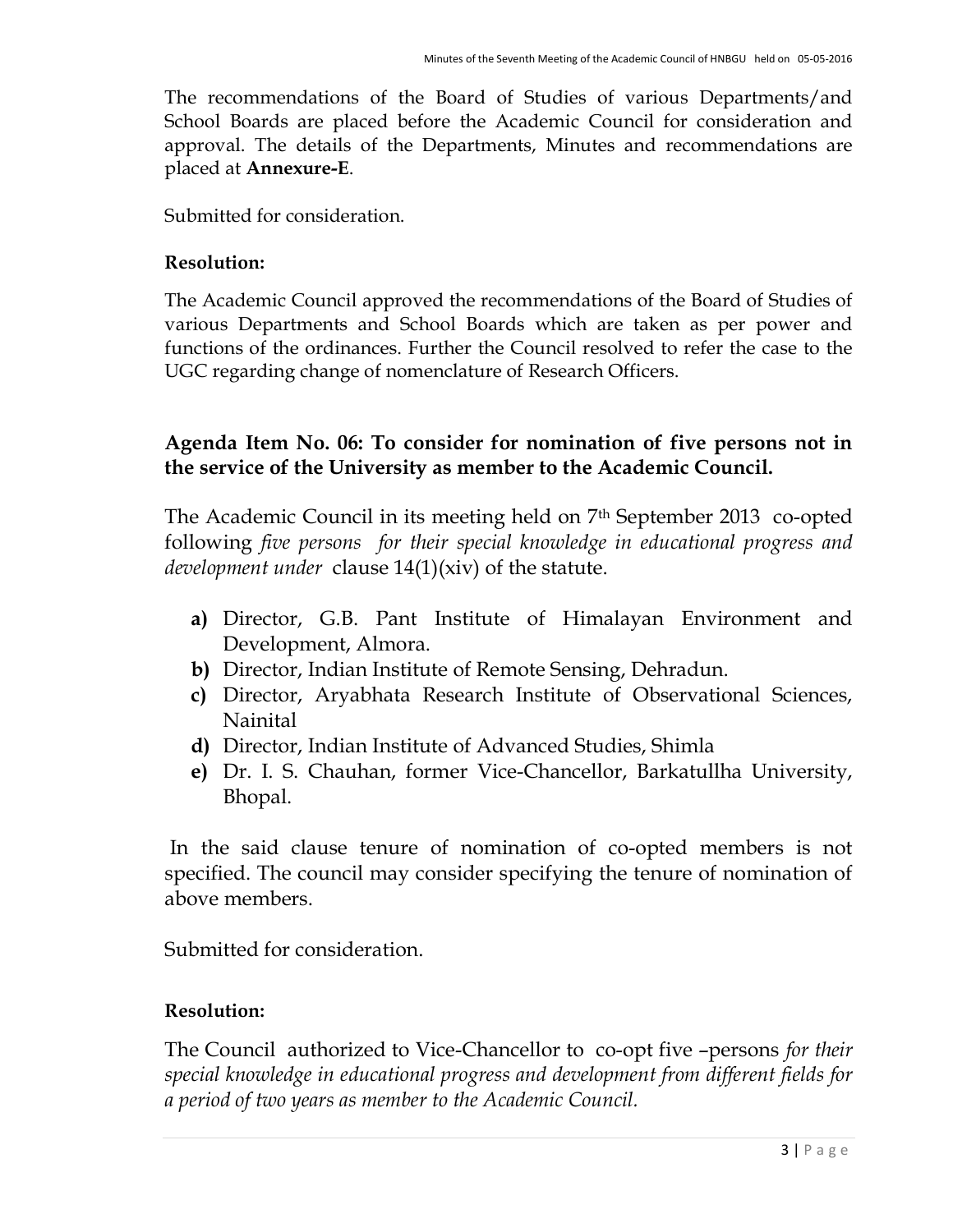The recommendations of the Board of Studies of various Departments/and School Boards are placed before the Academic Council for consideration and approval. The details of the Departments, Minutes and recommendations are placed at Annexure-E.

Submitted for consideration.

#### Resolution:

The Academic Council approved the recommendations of the Board of Studies of various Departments and School Boards which are taken as per power and functions of the ordinances. Further the Council resolved to refer the case to the UGC regarding change of nomenclature of Research Officers.

## Agenda Item No. 06: To consider for nomination of five persons not in the service of the University as member to the Academic Council.

The Academic Council in its meeting held on 7th September 2013 co-opted following five persons for their special knowledge in educational progress and *development under clause*  $14(1)(xiv)$  of the statute.

- a) Director, G.B. Pant Institute of Himalayan Environment and Development, Almora.
- b) Director, Indian Institute of Remote Sensing, Dehradun.
- c) Director, Aryabhata Research Institute of Observational Sciences, Nainital
- d) Director, Indian Institute of Advanced Studies, Shimla
- e) Dr. I. S. Chauhan, former Vice-Chancellor, Barkatullha University, Bhopal.

 In the said clause tenure of nomination of co-opted members is not specified. The council may consider specifying the tenure of nomination of above members.

Submitted for consideration.

### Resolution:

The Council authorized to Vice-Chancellor to co-opt five –persons for their special knowledge in educational progress and development from different fields for a period of two years as member to the Academic Council.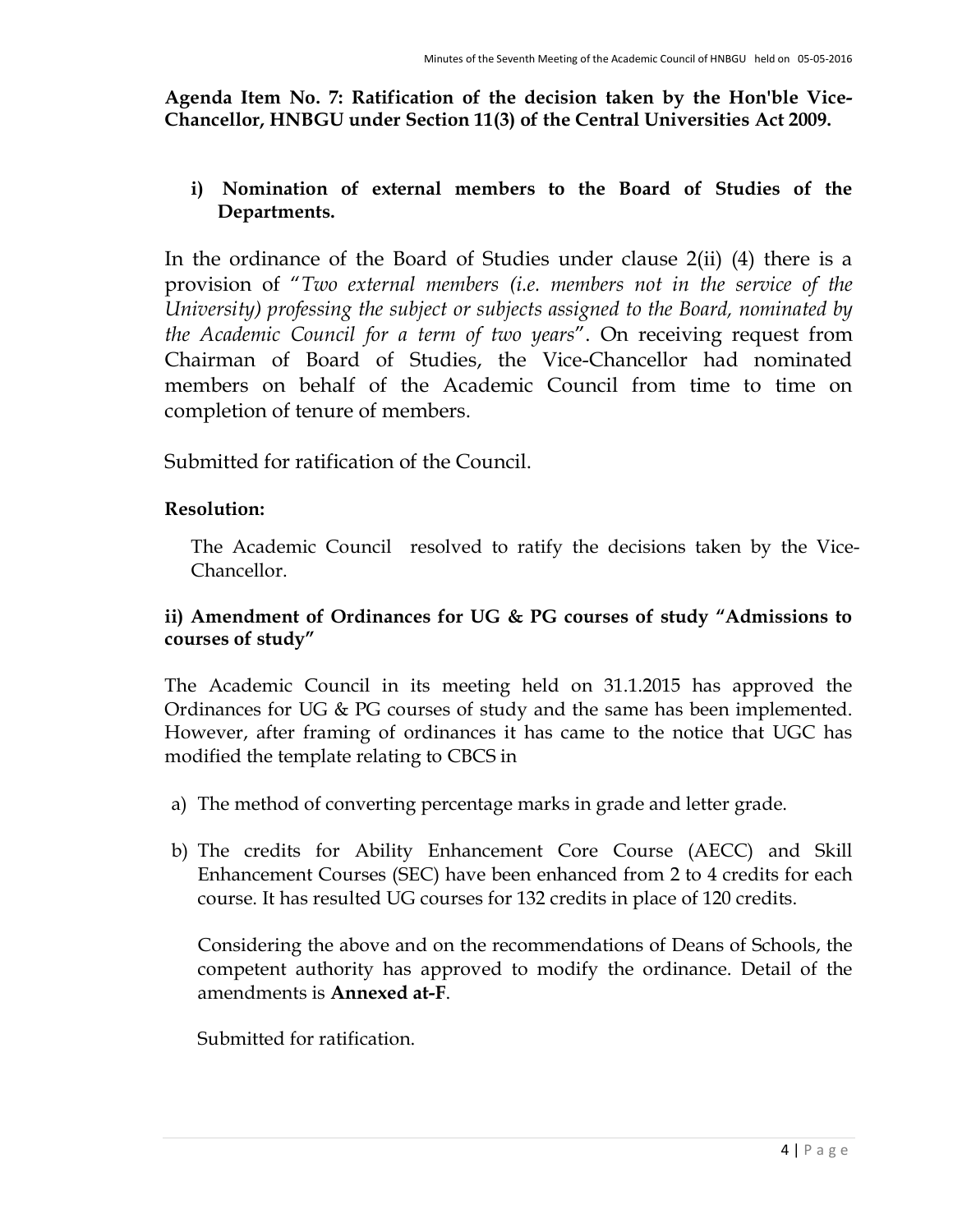Agenda Item No. 7: Ratification of the decision taken by the Hon'ble Vice-Chancellor, HNBGU under Section 11(3) of the Central Universities Act 2009.

## i) Nomination of external members to the Board of Studies of the Departments.

In the ordinance of the Board of Studies under clause 2(ii) (4) there is a provision of "Two external members (i.e. members not in the service of the University) professing the subject or subjects assigned to the Board, nominated by the Academic Council for a term of two years". On receiving request from Chairman of Board of Studies, the Vice-Chancellor had nominated members on behalf of the Academic Council from time to time on completion of tenure of members.

Submitted for ratification of the Council.

## Resolution:

The Academic Council resolved to ratify the decisions taken by the Vice-Chancellor.

## ii) Amendment of Ordinances for UG & PG courses of study "Admissions to courses of study"

The Academic Council in its meeting held on 31.1.2015 has approved the Ordinances for UG & PG courses of study and the same has been implemented. However, after framing of ordinances it has came to the notice that UGC has modified the template relating to CBCS in

- a) The method of converting percentage marks in grade and letter grade.
- b) The credits for Ability Enhancement Core Course (AECC) and Skill Enhancement Courses (SEC) have been enhanced from 2 to 4 credits for each course. It has resulted UG courses for 132 credits in place of 120 credits.

Considering the above and on the recommendations of Deans of Schools, the competent authority has approved to modify the ordinance. Detail of the amendments is Annexed at-F.

Submitted for ratification.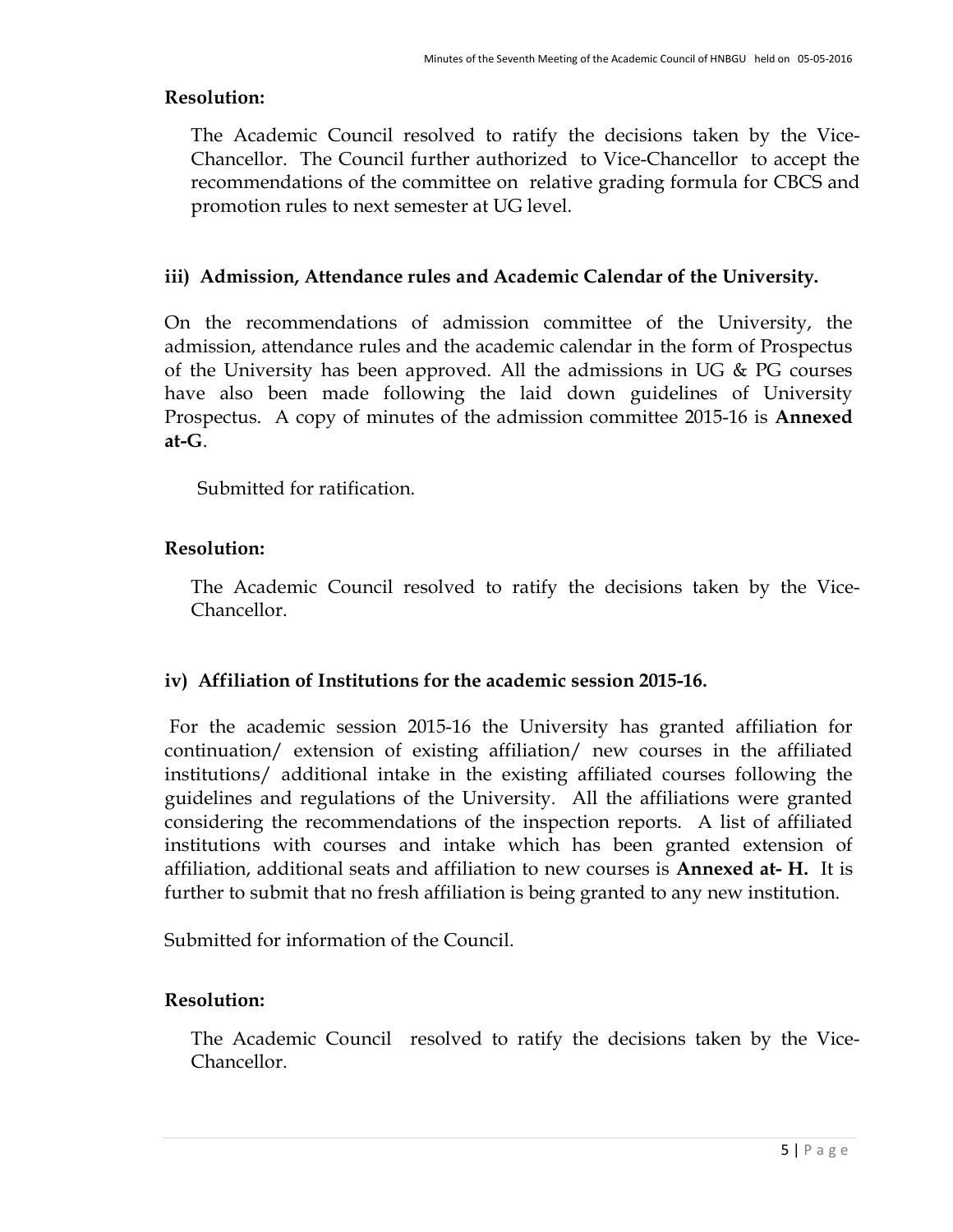### Resolution:

The Academic Council resolved to ratify the decisions taken by the Vice-Chancellor. The Council further authorized to Vice-Chancellor to accept the recommendations of the committee on relative grading formula for CBCS and promotion rules to next semester at UG level.

### iii) Admission, Attendance rules and Academic Calendar of the University.

On the recommendations of admission committee of the University, the admission, attendance rules and the academic calendar in the form of Prospectus of the University has been approved. All the admissions in UG & PG courses have also been made following the laid down guidelines of University Prospectus. A copy of minutes of the admission committee 2015-16 is **Annexed** at-G.

Submitted for ratification.

### Resolution:

The Academic Council resolved to ratify the decisions taken by the Vice-Chancellor.

#### iv) Affiliation of Institutions for the academic session 2015-16.

For the academic session 2015-16 the University has granted affiliation for continuation/ extension of existing affiliation/ new courses in the affiliated institutions/ additional intake in the existing affiliated courses following the guidelines and regulations of the University. All the affiliations were granted considering the recommendations of the inspection reports. A list of affiliated institutions with courses and intake which has been granted extension of affiliation, additional seats and affiliation to new courses is Annexed at-H. It is further to submit that no fresh affiliation is being granted to any new institution.

Submitted for information of the Council.

### Resolution:

The Academic Council resolved to ratify the decisions taken by the Vice-Chancellor.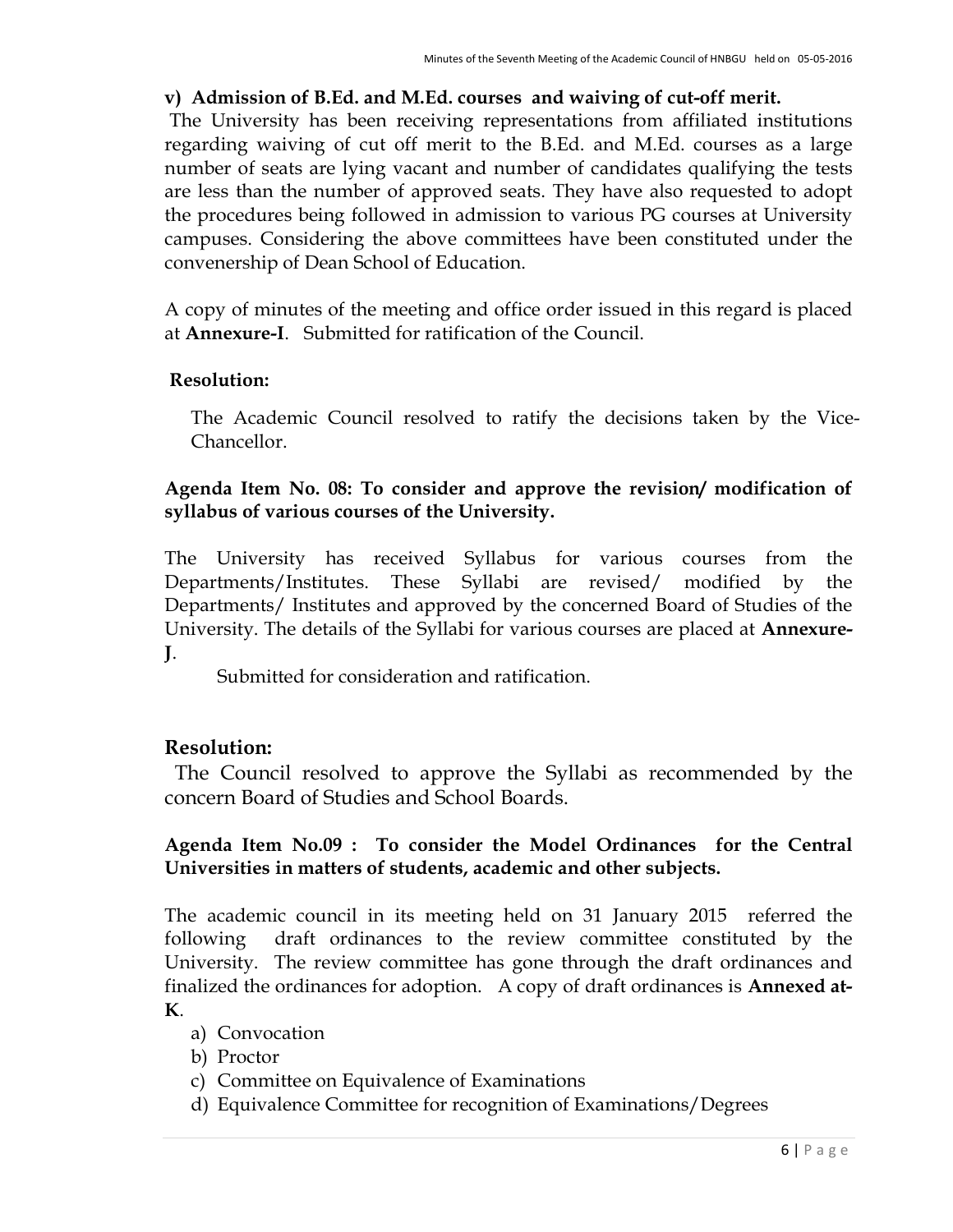### v) Admission of B.Ed. and M.Ed. courses and waiving of cut-off merit.

The University has been receiving representations from affiliated institutions regarding waiving of cut off merit to the B.Ed. and M.Ed. courses as a large number of seats are lying vacant and number of candidates qualifying the tests are less than the number of approved seats. They have also requested to adopt the procedures being followed in admission to various PG courses at University campuses. Considering the above committees have been constituted under the convenership of Dean School of Education.

A copy of minutes of the meeting and office order issued in this regard is placed at Annexure-I. Submitted for ratification of the Council.

## Resolution:

The Academic Council resolved to ratify the decisions taken by the Vice-Chancellor.

### Agenda Item No. 08: To consider and approve the revision/ modification of syllabus of various courses of the University.

The University has received Syllabus for various courses from the Departments/Institutes. These Syllabi are revised/ modified by the Departments/ Institutes and approved by the concerned Board of Studies of the University. The details of the Syllabi for various courses are placed at Annexure-J.

Submitted for consideration and ratification.

## Resolution:

 The Council resolved to approve the Syllabi as recommended by the concern Board of Studies and School Boards.

## Agenda Item No.09 : To consider the Model Ordinances for the Central Universities in matters of students, academic and other subjects.

The academic council in its meeting held on 31 January 2015 referred the following draft ordinances to the review committee constituted by the University. The review committee has gone through the draft ordinances and finalized the ordinances for adoption. A copy of draft ordinances is Annexed at-K.

- a) Convocation
- b) Proctor
- c) Committee on Equivalence of Examinations
- d) Equivalence Committee for recognition of Examinations/Degrees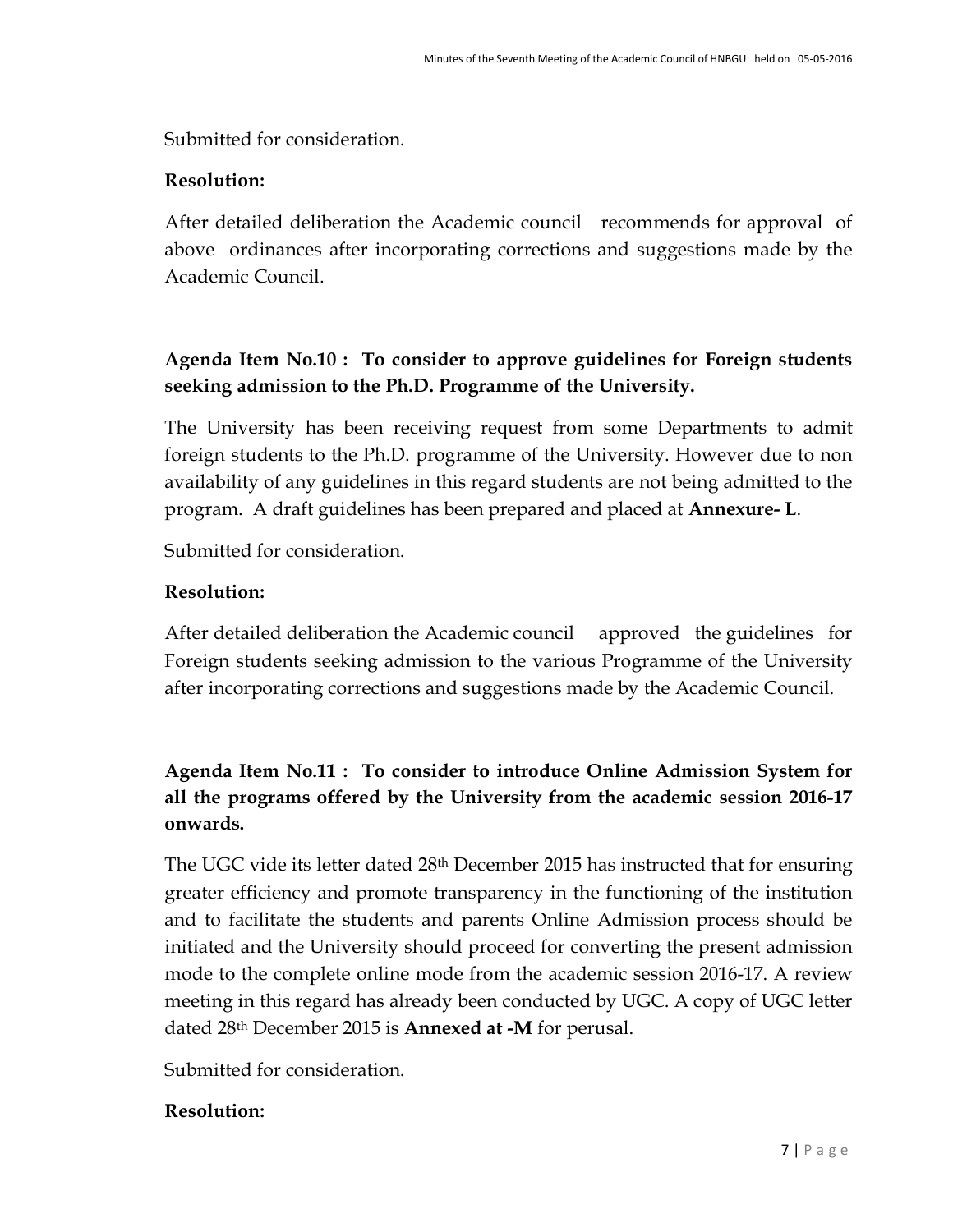Submitted for consideration.

### Resolution:

After detailed deliberation the Academic council recommends for approval of above ordinances after incorporating corrections and suggestions made by the Academic Council.

# Agenda Item No.10 : To consider to approve guidelines for Foreign students seeking admission to the Ph.D. Programme of the University.

The University has been receiving request from some Departments to admit foreign students to the Ph.D. programme of the University. However due to non availability of any guidelines in this regard students are not being admitted to the program. A draft guidelines has been prepared and placed at **Annexure-L**.

Submitted for consideration.

## Resolution:

After detailed deliberation the Academic council approved the guidelines for Foreign students seeking admission to the various Programme of the University after incorporating corrections and suggestions made by the Academic Council.

# Agenda Item No.11 : To consider to introduce Online Admission System for all the programs offered by the University from the academic session 2016-17 onwards.

The UGC vide its letter dated 28th December 2015 has instructed that for ensuring greater efficiency and promote transparency in the functioning of the institution and to facilitate the students and parents Online Admission process should be initiated and the University should proceed for converting the present admission mode to the complete online mode from the academic session 2016-17. A review meeting in this regard has already been conducted by UGC. A copy of UGC letter dated 28<sup>th</sup> December 2015 is **Annexed at -M** for perusal.

Submitted for consideration.

## Resolution: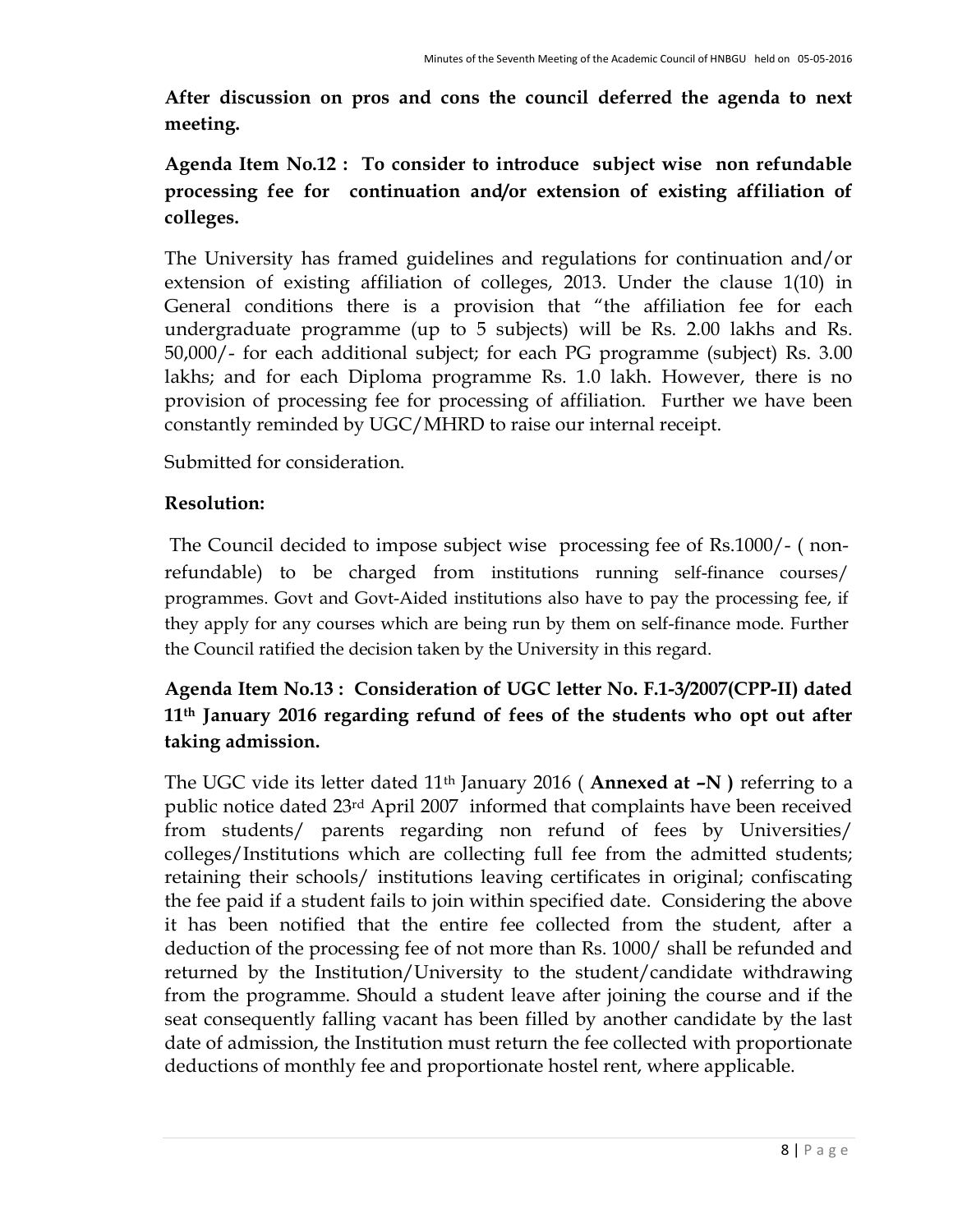After discussion on pros and cons the council deferred the agenda to next meeting.

# Agenda Item No.12 : To consider to introduce subject wise non refundable processing fee for continuation and/or extension of existing affiliation of colleges.

The University has framed guidelines and regulations for continuation and/or extension of existing affiliation of colleges, 2013. Under the clause 1(10) in General conditions there is a provision that "the affiliation fee for each undergraduate programme (up to 5 subjects) will be Rs. 2.00 lakhs and Rs. 50,000/- for each additional subject; for each PG programme (subject) Rs. 3.00 lakhs; and for each Diploma programme Rs. 1.0 lakh. However, there is no provision of processing fee for processing of affiliation. Further we have been constantly reminded by UGC/MHRD to raise our internal receipt.

Submitted for consideration.

## Resolution:

 The Council decided to impose subject wise processing fee of Rs.1000/- ( nonrefundable) to be charged from institutions running self-finance courses/ programmes. Govt and Govt-Aided institutions also have to pay the processing fee, if they apply for any courses which are being run by them on self-finance mode. Further the Council ratified the decision taken by the University in this regard.

## Agenda Item No.13 : Consideration of UGC letter No. F.1-3/2007(CPP-II) dated 11th January 2016 regarding refund of fees of the students who opt out after taking admission.

The UGC vide its letter dated 11<sup>th</sup> January 2016 (Annexed at -N) referring to a public notice dated 23rd April 2007 informed that complaints have been received from students/ parents regarding non refund of fees by Universities/ colleges/Institutions which are collecting full fee from the admitted students; retaining their schools/ institutions leaving certificates in original; confiscating the fee paid if a student fails to join within specified date. Considering the above it has been notified that the entire fee collected from the student, after a deduction of the processing fee of not more than Rs. 1000/ shall be refunded and returned by the Institution/University to the student/candidate withdrawing from the programme. Should a student leave after joining the course and if the seat consequently falling vacant has been filled by another candidate by the last date of admission, the Institution must return the fee collected with proportionate deductions of monthly fee and proportionate hostel rent, where applicable.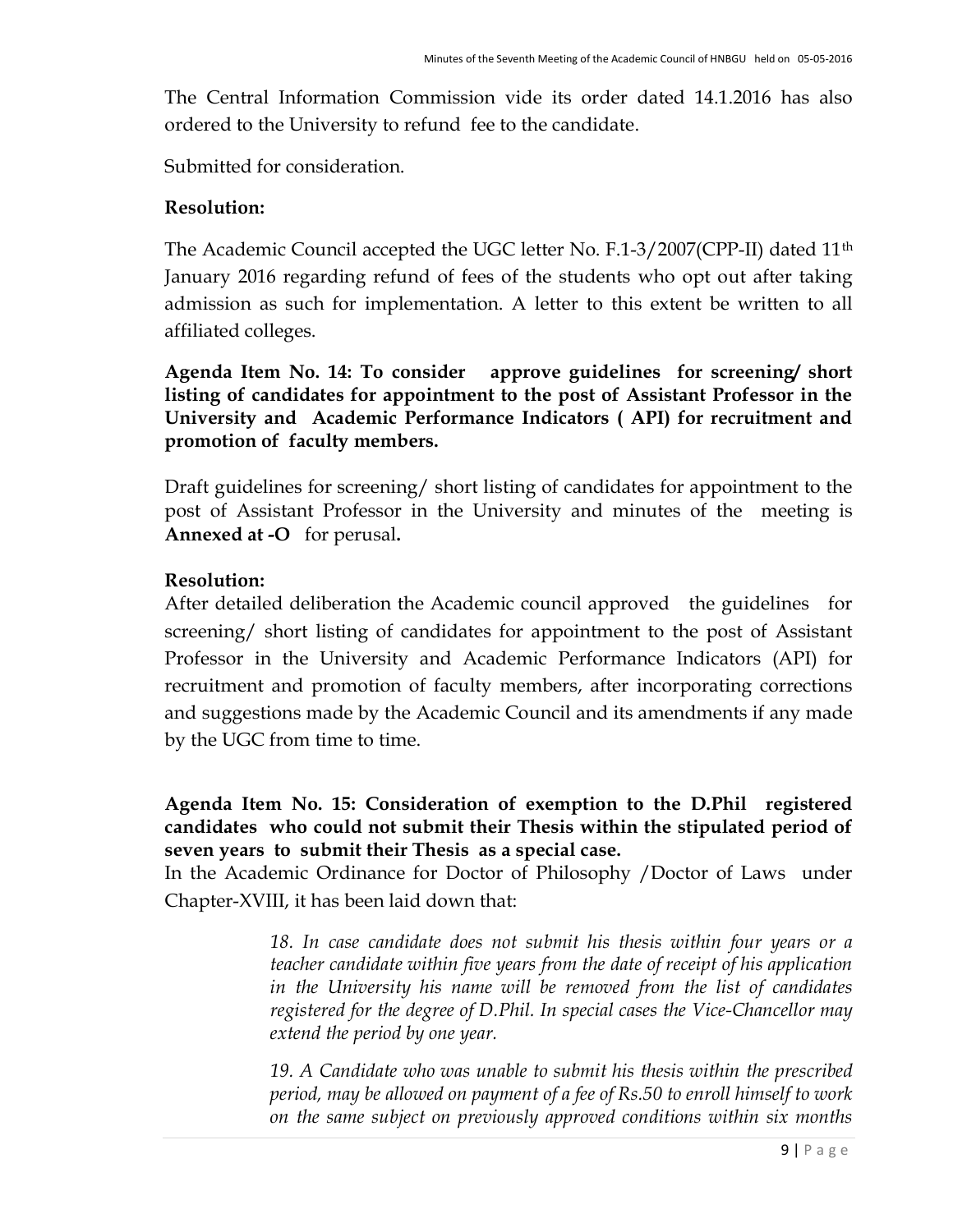The Central Information Commission vide its order dated 14.1.2016 has also ordered to the University to refund fee to the candidate.

Submitted for consideration.

### Resolution:

The Academic Council accepted the UGC letter No. F.1-3/2007(CPP-II) dated 11th January 2016 regarding refund of fees of the students who opt out after taking admission as such for implementation. A letter to this extent be written to all affiliated colleges.

Agenda Item No. 14: To consider approve guidelines for screening/ short listing of candidates for appointment to the post of Assistant Professor in the University and Academic Performance Indicators ( API) for recruitment and promotion of faculty members.

Draft guidelines for screening/ short listing of candidates for appointment to the post of Assistant Professor in the University and minutes of the meeting is Annexed at -O for perusal.

## Resolution:

After detailed deliberation the Academic council approved the guidelines for screening/ short listing of candidates for appointment to the post of Assistant Professor in the University and Academic Performance Indicators (API) for recruitment and promotion of faculty members, after incorporating corrections and suggestions made by the Academic Council and its amendments if any made by the UGC from time to time.

Agenda Item No. 15: Consideration of exemption to the D.Phil registered candidates who could not submit their Thesis within the stipulated period of seven years to submit their Thesis as a special case.

In the Academic Ordinance for Doctor of Philosophy /Doctor of Laws under Chapter-XVIII, it has been laid down that:

> 18. In case candidate does not submit his thesis within four years or a teacher candidate within five years from the date of receipt of his application in the University his name will be removed from the list of candidates registered for the degree of D.Phil. In special cases the Vice-Chancellor may extend the period by one year.

> 19. A Candidate who was unable to submit his thesis within the prescribed period, may be allowed on payment of a fee of Rs.50 to enroll himself to work on the same subject on previously approved conditions within six months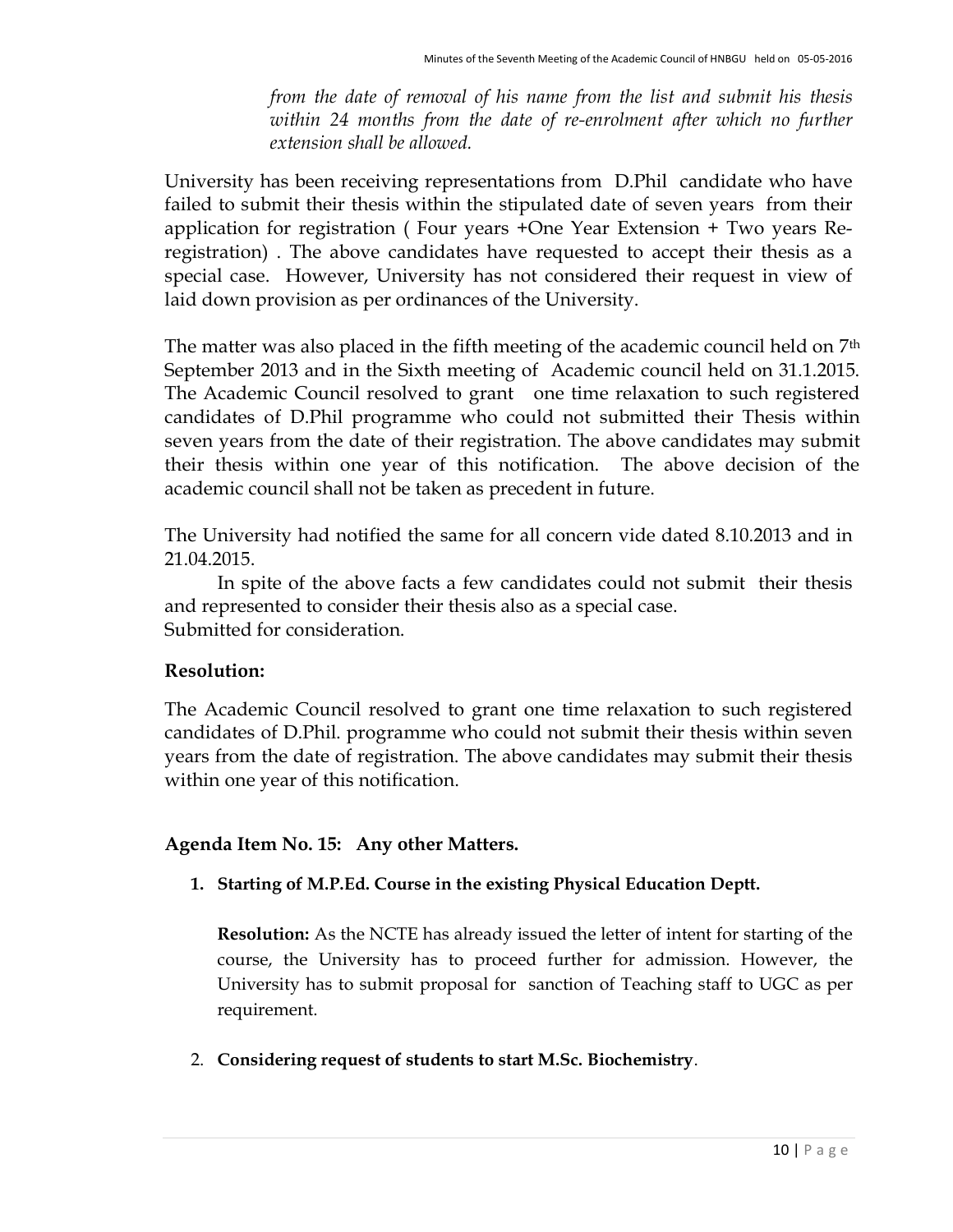from the date of removal of his name from the list and submit his thesis within 24 months from the date of re-enrolment after which no further extension shall be allowed.

University has been receiving representations from D.Phil candidate who have failed to submit their thesis within the stipulated date of seven years from their application for registration ( Four years +One Year Extension + Two years Reregistration) . The above candidates have requested to accept their thesis as a special case. However, University has not considered their request in view of laid down provision as per ordinances of the University.

The matter was also placed in the fifth meeting of the academic council held on 7<sup>th</sup> September 2013 and in the Sixth meeting of Academic council held on 31.1.2015. The Academic Council resolved to grant one time relaxation to such registered candidates of D.Phil programme who could not submitted their Thesis within seven years from the date of their registration. The above candidates may submit their thesis within one year of this notification. The above decision of the academic council shall not be taken as precedent in future.

The University had notified the same for all concern vide dated 8.10.2013 and in 21.04.2015.

In spite of the above facts a few candidates could not submit their thesis and represented to consider their thesis also as a special case. Submitted for consideration.

#### Resolution:

The Academic Council resolved to grant one time relaxation to such registered candidates of D.Phil. programme who could not submit their thesis within seven years from the date of registration. The above candidates may submit their thesis within one year of this notification.

#### Agenda Item No. 15: Any other Matters.

1. Starting of M.P.Ed. Course in the existing Physical Education Deptt.

Resolution: As the NCTE has already issued the letter of intent for starting of the course, the University has to proceed further for admission. However, the University has to submit proposal for sanction of Teaching staff to UGC as per requirement.

2. Considering request of students to start M.Sc. Biochemistry.